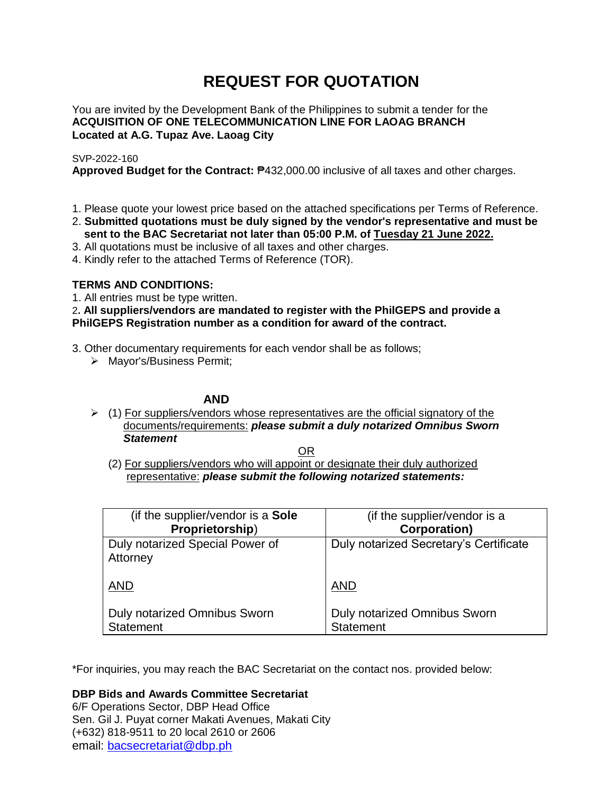# **REQUEST FOR QUOTATION**

You are invited by the Development Bank of the Philippines to submit a tender for the **ACQUISITION OF ONE TELECOMMUNICATION LINE FOR LAOAG BRANCH Located at A.G. Tupaz Ave. Laoag City**

# SVP-2022-160

**Approved Budget for the Contract:** ₱432,000.00 inclusive of all taxes and other charges.

- 1. Please quote your lowest price based on the attached specifications per Terms of Reference.
- 2. **Submitted quotations must be duly signed by the vendor's representative and must be sent to the BAC Secretariat not later than 05:00 P.M. of Tuesday 21 June 2022.**
- 3. All quotations must be inclusive of all taxes and other charges.
- 4. Kindly refer to the attached Terms of Reference (TOR).

# **TERMS AND CONDITIONS:**

1. All entries must be type written.

2**. All suppliers/vendors are mandated to register with the PhilGEPS and provide a PhilGEPS Registration number as a condition for award of the contract.**

- 3. Other documentary requirements for each vendor shall be as follows;
	- > Mayor's/Business Permit;

# **AND**

 $\geq$  (1) For suppliers/vendors whose representatives are the official signatory of the documents/requirements: *please submit a duly notarized Omnibus Sworn Statement*

<u>OR Starting and the Starting OR Starting</u>

(2) For suppliers/vendors who will appoint or designate their duly authorized representative: *please submit the following notarized statements:*

| (if the supplier/vendor is a Sole           | (if the supplier/vendor is a           |
|---------------------------------------------|----------------------------------------|
| Proprietorship)                             | <b>Corporation)</b>                    |
| Duly notarized Special Power of<br>Attorney | Duly notarized Secretary's Certificate |
| <b>AND</b>                                  | <b>AND</b>                             |
| Duly notarized Omnibus Sworn                | Duly notarized Omnibus Sworn           |
| <b>Statement</b>                            | <b>Statement</b>                       |

\*For inquiries, you may reach the BAC Secretariat on the contact nos. provided below:

**DBP Bids and Awards Committee Secretariat** 

6/F Operations Sector, DBP Head Office Sen. Gil J. Puyat corner Makati Avenues, Makati City (+632) 818-9511 to 20 local 2610 or 2606 email: [bacsecretariat@dbp.ph](mailto:bacsecretariat@dbp.ph)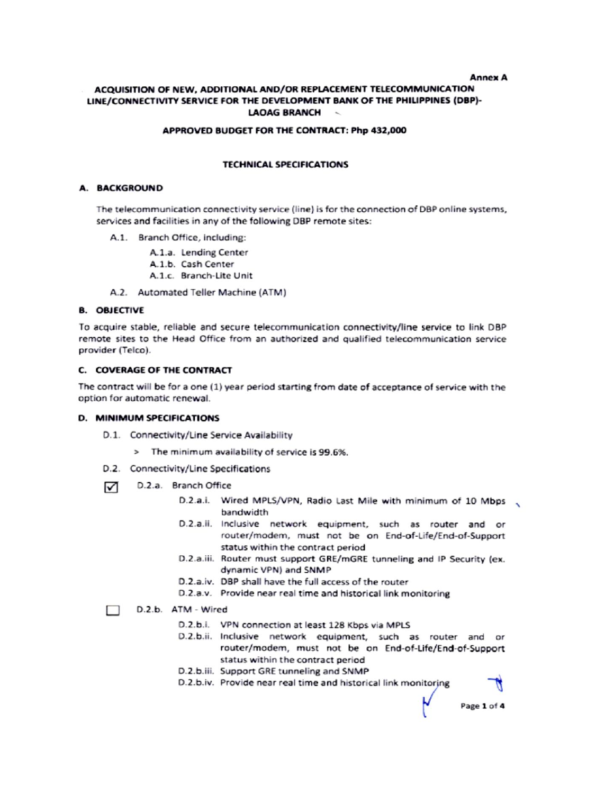#### **Annex A**

#### ACQUISITION OF NEW, ADDITIONAL AND/OR REPLACEMENT TELECOMMUNICATION LINE/CONNECTIVITY SERVICE FOR THE DEVELOPMENT BANK OF THE PHILIPPINES (DBP)-**LAOAG BRANCH**  $\sim$

#### APPROVED BUDGET FOR THE CONTRACT: Php 432,000

## **TECHNICAL SPECIFICATIONS**

#### A. BACKGROUND

The telecommunication connectivity service (line) is for the connection of DBP online systems, services and facilities in any of the following DBP remote sites:

A.1. Branch Office, including:

A.1.a. Lending Center

- A.1.b. Cash Center
- A.1.c. Branch-Lite Unit
- A.2. Automated Teller Machine (ATM)

#### **B. OBJECTIVE**

To acquire stable, reliable and secure telecommunication connectivity/line service to link DBP remote sites to the Head Office from an authorized and qualified telecommunication service provider (Telco).

## C. COVERAGE OF THE CONTRACT

The contract will be for a one (1) year period starting from date of acceptance of service with the option for automatic renewal.

#### D. MINIMUM SPECIFICATIONS

- D.1. Connectivity/Line Service Availability
	- > The minimum availability of service is 99.6%.
- D.2. Connectivity/Line Specifications
- D.2.a. Branch Office ☑
	- D.2.a.i. Wired MPLS/VPN, Radio Last Mile with minimum of 10 Mbps handwidth
	- D.2.a.ii. Inclusive network equipment, such as router and or router/modem, must not be on End-of-Life/End-of-Support status within the contract period
	- D.2.a.iii. Router must support GRE/mGRE tunneling and IP Security (ex. dynamic VPN) and SNMP
	- D.2.a.iv. DBP shall have the full access of the router
	- D.2.a.v. Provide near real time and historical link monitoring

## D.2.b. ATM - Wired

- D.2.b.i. VPN connection at least 128 Kbps via MPLS
- D.2.b.ii. Inclusive network equipment, such as router and or router/modem, must not be on End-of-Life/End-of-Support status within the contract period
- D.2.b.iii. Support GRE tunneling and SNMP
- D.2.b.iv. Provide near real time and historical link monitoring

Page 1 of 4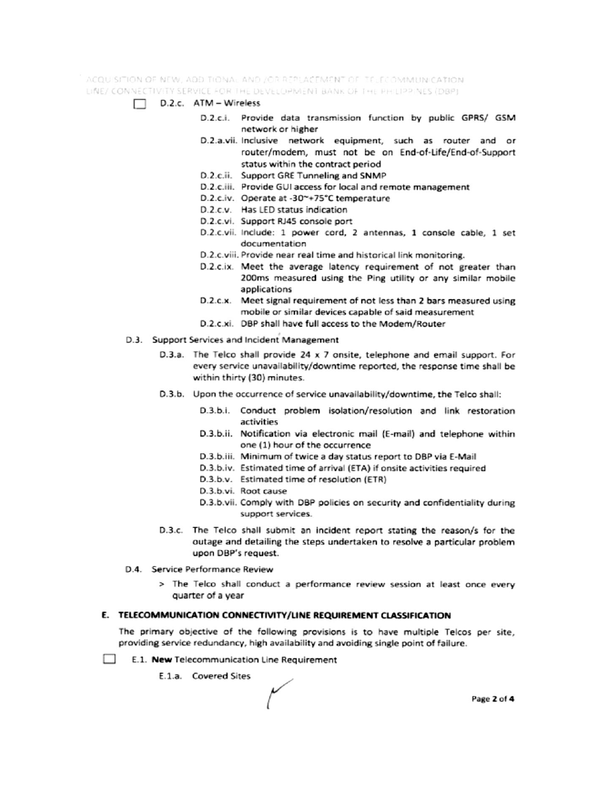ACQUISITION OF NEW, ADDITIONAL AND JOR REPLACEMENT OF TELECOMMUNICATION. LINE/ CONNECTIVITY SERVICE FOR THE DEVELOPMENT BANK OF THE PHILIPPINES (DBP)

- $\Box$  D.2.c. ATM Wireless
	- D.2.c.i. Provide data transmission function by public GPRS/ GSM network or higher
	- D.2.a.vii. Inclusive network equipment, such as router and or router/modem, must not be on End-of-Life/End-of-Support status within the contract period
	- D.2.c.ii. Support GRE Tunneling and SNMP
	- D.2.c.iii. Provide GUI access for local and remote management
	- D.2.c.iv. Operate at -30~+75°C temperature
	- D.2.c.v. Has LED status indication
	- D.2.c.vi. Support RJ45 console port
	- D.2.c.vii. Include: 1 power cord, 2 antennas, 1 console cable, 1 set documentation
	- D.2.c.viii. Provide near real time and historical link monitoring.
	- D.2.c.ix. Meet the average latency requirement of not greater than 200ms measured using the Ping utility or any similar mobile applications
	- D.2.c.x. Meet signal requirement of not less than 2 bars measured using mobile or similar devices capable of said measurement
	- D.2.c.xi. DBP shall have full access to the Modem/Router
- D.3. Support Services and Incident Management
	- D.3.a. The Telco shall provide 24 x 7 onsite, telephone and email support. For every service unavailability/downtime reported, the response time shall be within thirty (30) minutes.
	- D.3.b. Upon the occurrence of service unavailability/downtime, the Telco shall:
		- D.3.b.i. Conduct problem isolation/resolution and link restoration activities
		- D.3.b.ii. Notification via electronic mail (E-mail) and telephone within one (1) hour of the occurrence
		- D.3.b.iii. Minimum of twice a day status report to DBP via E-Mail
		- D.3.b.iv. Estimated time of arrival (ETA) if onsite activities required
		- D.3.b.v. Estimated time of resolution (ETR)
		- D.3.b.vi. Root cause
		- D.3.b.vii. Comply with DBP policies on security and confidentiality during support services.
	- D.3.c. The Telco shall submit an incident report stating the reason/s for the outage and detailing the steps undertaken to resolve a particular problem upon DBP's request.
- D.4. Service Performance Review
	- > The Telco shall conduct a performance review session at least once every quarter of a year

## E. TELECOMMUNICATION CONNECTIVITY/LINE REQUIREMENT CLASSIFICATION

The primary objective of the following provisions is to have multiple Telcos per site, providing service redundancy, high availability and avoiding single point of failure.

- **College** E.1. New Telecommunication Line Requirement
	- E.1.a. Covered Sites

Page 2 of 4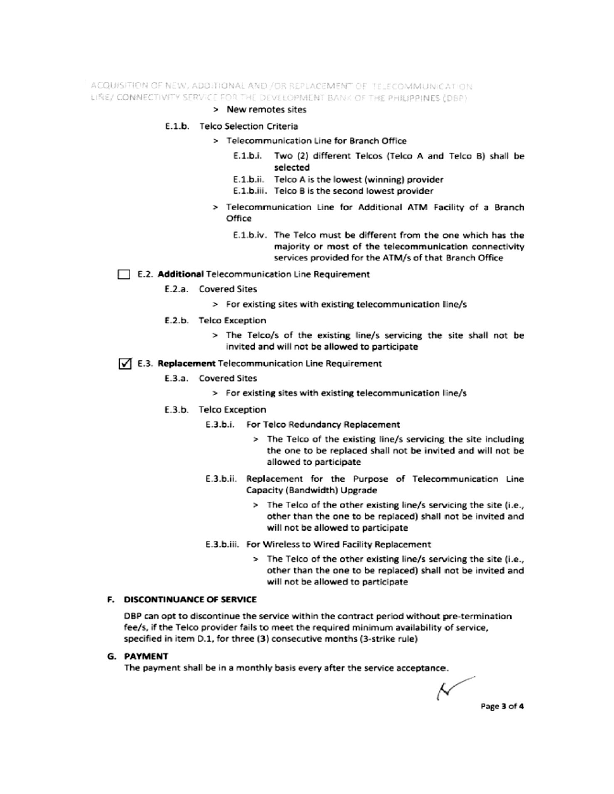ACQUISITION OF NEW, ADDITIONAL AND /OR REPLACEMENT OF TELECOMMUNICATION LINE/ CONNECTIVITY SERVICE FOR THE DEVELOPMENT BANK OF THE PHILIPPINES (DBP)

#### > New remotes sites

#### E.1.b. Telco Selection Criteria

- > Telecommunication Line for Branch Office
	- E.1.b.i. Two (2) different Telcos (Telco A and Telco B) shall be selected
	- E.1.b.ii. Telco A is the lowest (winning) provider
	- E.1.b.iii. Telco B is the second lowest provider
- > Telecommunication Line for Additional ATM Facility of a Branch Office
	- E.1.b.iv. The Telco must be different from the one which has the majority or most of the telecommunication connectivity services provided for the ATM/s of that Branch Office

#### E.2. Additional Telecommunication Line Requirement

- E.2.a. Covered Sites
	- > For existing sites with existing telecommunication line/s
- E.2.b. Telco Exception
	- > The Telco/s of the existing line/s servicing the site shall not be invited and will not be allowed to participate

## √ E.3. Replacement Telecommunication Line Requirement

- E.3.a. Covered Sites
	- > For existing sites with existing telecommunication line/s
- E.3.b. Telco Exception
	- E.3.b.i. For Telco Redundancy Replacement
		- > The Telco of the existing line/s servicing the site including the one to be replaced shall not be invited and will not be allowed to participate
	- E.3.b.ii. Replacement for the Purpose of Telecommunication Line Capacity (Bandwidth) Upgrade
		- > The Telco of the other existing line/s servicing the site (i.e., other than the one to be replaced) shall not be invited and will not be allowed to participate
	- E.3.b.iii. For Wireless to Wired Facility Replacement
		- > The Telco of the other existing line/s servicing the site (i.e., other than the one to be replaced) shall not be invited and will not be allowed to participate

# F. DISCONTINUANCE OF SERVICE

DBP can opt to discontinue the service within the contract period without pre-termination fee/s, if the Telco provider fails to meet the required minimum availability of service, specified in item D.1, for three (3) consecutive months (3-strike rule)

#### **G. PAYMENT**

The payment shall be in a monthly basis every after the service acceptance.

Ν Page 3 of 4